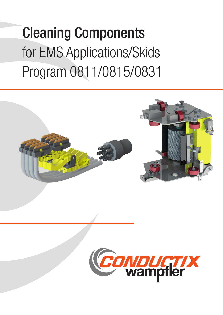# Cleaning Components for EMS Applications/Skids Program 0811/0815/0831



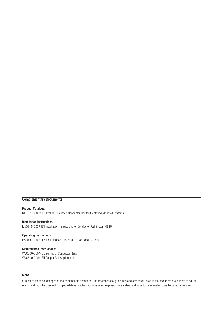### Complementary Documents

Product Catalogs: KAT0815-0003-EN ProEMS Insulated Conductor Rail for Electrified Monorail Systems

Installation Instructions: MV0815-0007-EN Installation Instructions for Conductor Rail System 0815

Operating Instructions: BAL0800-0002-EN Rail Cleaner - 180x60, 180x80 and 240x80

Maintenance Instructions: WV0800-0001-E Cleaning of Conductor Rails WV0800-0004-EN Copper Rail Applications

#### **Note**

Subject to technical changes of the components described. The references to guidelines and standards listed in the document are subject to adjustments and must be checked for up-to-dateness. Classifications refer to general parameters and have to be evaluated case by case by the user.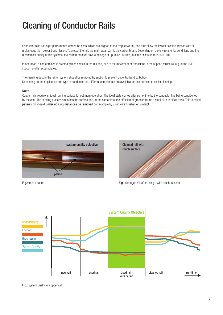## Cleaning of Conductor Rails

Conductor rails use high-performance carbon brushes, which are aligned to the respective rail, and thus allow the lowest possible friction with simultaneous high power transmission. To protect the rail, the main wear part is the carbon brush. Depending on the environmental conditions and the mechanical quality of the systems, the carbon brushes have a mileage of up to 12,000 km, in some cases up to 20,000 km.

In operation, a fine abrasion is created, which settles in the rail and, due to the movement at transitions in the support structure, e.g. in the EMS support profile, accumulates.

The resulting dust in the rail or system should be removed by suction to prevent uncontrolled distribution. Depending on the application and type of conductor rail, different components are available for this purpose to assist cleaning.

#### Note:

Copper rails require an ideal running surface for optimum operation. The ideal state comes after some time by the conductor line being conditioned by the coal. The sanding process smoothes the surface and, at the same time, the diffusion of graphite forms a steel-blue to black track. This is called patina and should under no circumstances be removed (for example by using wire brushes or similar)!





Fig.: track / patina Fig.: damaged rail after using a wire brush to clean



Fig.: system quality of copper rail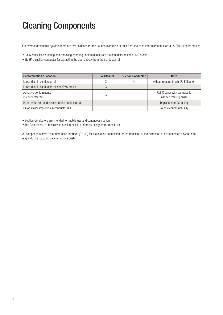For overhead monorail systems there are two solutions for the defined extraction of dust from the conductor rail/conductor rail & EMS support profile:

- RailCleaner for extracting and removing adhering contaminants from the conductor rail and EMS profile
- EMSPro suction conductor for extracting the dust directly from the conductor rail

| <b>Contamination / Location</b>                   | <b>RailCleaner</b> | <b>Suction Conductor</b> | <b>Note</b>                                              |
|---------------------------------------------------|--------------------|--------------------------|----------------------------------------------------------|
| Loose dust in conductor rail                      |                    |                          | without rotating brush (Rail Cleaner)                    |
| Loose dust in conductor rail and EMS profile      |                    |                          |                                                          |
| Adhesive contaminants<br>in conductor rail        |                    |                          | Rail Cleaner with temporarily<br>inserted rotating brush |
| Burn marks on tread surface of the conductor rail |                    |                          | Replacement / Sanding                                    |
| Oil or similar impurities in conductor rail       |                    |                          | To be cleaned manually                                   |

• Suction Conductors are intended for mobile use and continuous suction.

4

• The RailCleaner, a chassis with suction bell, is preferably designed for mobile use.

All components have a standard hose interface (DN 40) for the suction connection for the transition to the extraction to be connected downstream (e.g. industrial vacuum cleaner for fine dust).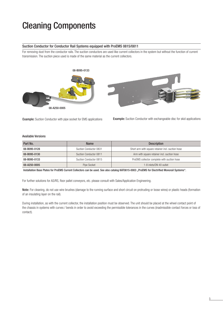#### Suction Conductor for Conductor Rail Systems equipped with ProEMS 0815/0811

For removing dust from the conductor rails. The suction conductors are used like current collectors in the system but without the function of current transmission. The suction piece used is made of the same material as the current collectors.



Example: Suction Conductor with pipe socket for EMS applications

Example: Suction Conductor with exchangeable disc for skid applications

#### Available Versions

| Part No.     | <b>Name</b>            | <b>Description</b>                                |  |
|--------------|------------------------|---------------------------------------------------|--|
| 08-B095-0128 | Suction Conductor 0831 | Short arm with square retainer incl. suction hose |  |
| 08-B095-0130 | Suction Conductor 0811 | Arm with square retainer incl. suction hose       |  |
| 08-B095-0133 | Suction Conductor 0815 | ProEMS collector complete with suction hose       |  |
| 08-A250-0005 | Pipe Socket            | 1-8 inlets/DN 40 outlet                           |  |

Installation Base Plates for ProEMS Current Collectors can be used. See also catalog KAT0815-0003 "ProEMS for Electrified Monorail Systems".

For further solutions for AS/RS, floor pallet conveyors, etc. please consult with Sales/Application Engineering.

Note: For cleaning, do not use wire brushes (damage to the running surface and short circuit on protruding or loose wires) or plastic heads (formation of an insulating layer on the rail).

During installation, as with the current collector, the installation position must be observed. The unit should be placed at the wheel contact point of the chassis in systems with curves / bends in order to avoid exceeding the permissible tolerances in the curves (inadmissible contact forces or loss of contact).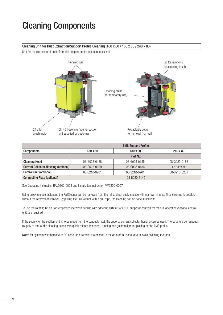#### Cleaning Unit for Dust Extraction/Support Profile Cleaning (160 x 60 / 160 x 80 / 240 x 80)

Unit for the extraction of dusts from the support profile incl. conductor rail.



|                                      | <b>EMS Support Profile</b> |              |              |  |  |
|--------------------------------------|----------------------------|--------------|--------------|--|--|
| <b>Components</b>                    | $180\times 60$             | 180 x 80     | 240 x 80     |  |  |
|                                      | Part No.                   |              |              |  |  |
| <b>Cleaning Head</b>                 | 08-G023-0138               | 08-G023-0135 | 08-G023-0183 |  |  |
| Current Collector Housing (optional) | 08-G023-0139               | 08-G023-0136 | on demand    |  |  |
| <b>Control Unit (optional)</b>       | 08-S210-0261               | 08-S210-0261 | 08-S210-0261 |  |  |
| <b>Connecting Plate (optional)</b>   | 08-B020-7145               |              |              |  |  |

See Operating Instruction BAL0800-0002 and Installation Instruction MV0800-0007

Using quick-release fasteners, the RailCleaner can be removed from the rail and put back in place within a few minutes. Thus cleaning is possible without the removal of vehicles. By pulling the RailCleaner with a pull rope, the cleaning can be done in sections.

To use the rotating brush (for temporary use when dealing with adhering dirt), a 24 V / DC supply or controls for manual operation (optional control unit) are required.

If the supply for the suction unit is to be made from the conductor rail, the optional current collector housing can be used. The structure corresponds roughly to that of the cleaning heads with quick-release fasteners, running and guide rollers for placing on the EMS profile.

Note: for systems with barcode or QR code tape, remove the bristles in the area of the code tape to avoid polishing the tape.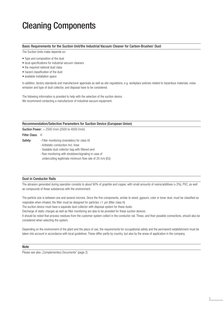#### Basic Requirements for the Suction Unit/the Industrial Vacuum Cleaner for Carbon-Brushes' Dust

The Suction Units make depends on:

- Type and composition of the dust
- local specifications for industrial vacuum cleaners
- the required national dust class
- hazard classification of the dust
- available installation space

In addition, factory standards and manufacturer approvals as well as site regulations, e.g. workplace policies related to hazardous materials, noise emission and type of dust collector, and disposal have to be considered.

The following information is provided to help with the selection of the suction device. We recommend contacting a manufacturer of industrial vacuum equipment.

#### Recommendation/Selection Parameters for Suction Device (European Union)

Suction Power: > 2500 l/min (2500 to 4500 l/min)

#### Filter Class: H

- Safety: Filter monitoring (mandatory for class H)
	- Antistatic-conduction incl. hose
	- Sealable dust collector bag with filtered vent
	- flow monitoring with shutdown/signaling in case of
	- undercutting legitimate minimum flow rate of 20 m/s (EU)

#### Dust in Conductor Rails

The abrasion generated during operation consists to about 90% of graphite and copper, with small amounts of resins/additives (<3%), PVC, as well as compounds of these substances with the environment.

The particle size is between one and several microns. Since the fine components, similar to wood, gypsum, color or toner dust, must be classified as respirable when inhaled, the filter must be designed for particles <1 μm (filter class H).

The suction device must have a separate dust collector with disposal system for these dusts.

Discharge of static charges as well as filter monitoring are also to be provided for these suction devices.

It should be noted that process residues from the customer system collect in the conductor rail. These, and their possible connections, should also be considered when selecting the system.

Depending on the environment of the plant and the place of use, the requirements for occupational safety and the permanent establishment must be taken into account in accordance with local guidelines. These differ partly by country, but also by the areas of application in the company.

#### Note

Please see also "Complementary Documents" (page 2)